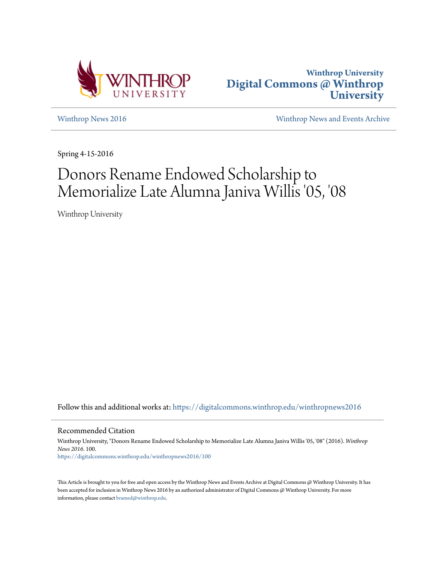



[Winthrop News 2016](https://digitalcommons.winthrop.edu/winthropnews2016?utm_source=digitalcommons.winthrop.edu%2Fwinthropnews2016%2F100&utm_medium=PDF&utm_campaign=PDFCoverPages) [Winthrop News and Events Archive](https://digitalcommons.winthrop.edu/winthropnewsarchives?utm_source=digitalcommons.winthrop.edu%2Fwinthropnews2016%2F100&utm_medium=PDF&utm_campaign=PDFCoverPages)

Spring 4-15-2016

# Donors Rename Endowed Scholarship to Memorialize Late Alumna Janiva Willis '05, '08

Winthrop University

Follow this and additional works at: [https://digitalcommons.winthrop.edu/winthropnews2016](https://digitalcommons.winthrop.edu/winthropnews2016?utm_source=digitalcommons.winthrop.edu%2Fwinthropnews2016%2F100&utm_medium=PDF&utm_campaign=PDFCoverPages)

Recommended Citation

Winthrop University, "Donors Rename Endowed Scholarship to Memorialize Late Alumna Janiva Willis '05, '08" (2016). *Winthrop News 2016*. 100. [https://digitalcommons.winthrop.edu/winthropnews2016/100](https://digitalcommons.winthrop.edu/winthropnews2016/100?utm_source=digitalcommons.winthrop.edu%2Fwinthropnews2016%2F100&utm_medium=PDF&utm_campaign=PDFCoverPages)

This Article is brought to you for free and open access by the Winthrop News and Events Archive at Digital Commons @ Winthrop University. It has been accepted for inclusion in Winthrop News 2016 by an authorized administrator of Digital Commons @ Winthrop University. For more information, please contact [bramed@winthrop.edu](mailto:bramed@winthrop.edu).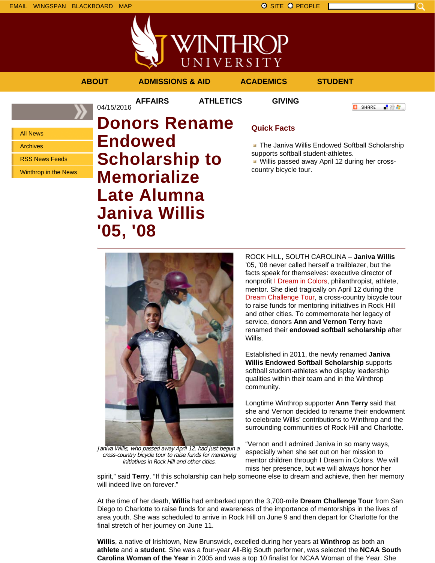



**AFFAIRS ATHLETICS GIVING**

04/15/2016

**ABOUT ADMISSIONS & AID ACADEMICS STUDENT**

**O** SHARE

上没有。

All News

Archives

RSS News Feeds

Winthrop in the News

# **Donors Rename Endowed Scholarship to Memorialize Late Alumna Janiva Willis '05, '08**

## **Quick Facts**

**The Janiva Willis Endowed Softball Scholarship** supports softball student-athletes.

**Willis passed away April 12 during her cross**country bicycle tour.



Janiva Willis, who passed away April 12, had just begun <sup>a</sup> cross-country bicycle tour to raise funds for mentoring initiatives in Rock Hill and other cities.

ROCK HILL, SOUTH CAROLINA – **Janiva Willis** '05, '08 never called herself a trailblazer, but the facts speak for themselves: executive director of nonprofit I Dream in Colors, philanthropist, athlete, mentor. She died tragically on April 12 during the Dream Challenge Tour, a cross-country bicycle tour to raise funds for mentoring initiatives in Rock Hill and other cities. To commemorate her legacy of service, donors **Ann and Vernon Terry** have renamed their **endowed softball scholarship** after Willis.

Established in 2011, the newly renamed **Janiva Willis Endowed Softball Scholarship** supports softball student-athletes who display leadership qualities within their team and in the Winthrop community.

Longtime Winthrop supporter **Ann Terry** said that she and Vernon decided to rename their endowment to celebrate Willis' contributions to Winthrop and the surrounding communities of Rock Hill and Charlotte.

"Vernon and I admired Janiva in so many ways, especially when she set out on her mission to mentor children through I Dream in Colors. We will miss her presence, but we will always honor her

spirit," said **Terry**. "If this scholarship can help someone else to dream and achieve, then her memory will indeed live on forever."

At the time of her death, **Willis** had embarked upon the 3,700-mile **Dream Challenge Tour** from San Diego to Charlotte to raise funds for and awareness of the importance of mentorships in the lives of area youth. She was scheduled to arrive in Rock Hill on June 9 and then depart for Charlotte for the final stretch of her journey on June 11.

**Willis**, a native of Irishtown, New Brunswick, excelled during her years at **Winthrop** as both an **athlete** and a **student**. She was a four-year All-Big South performer, was selected the **NCAA South Carolina Woman of the Year** in 2005 and was a top 10 finalist for NCAA Woman of the Year. She